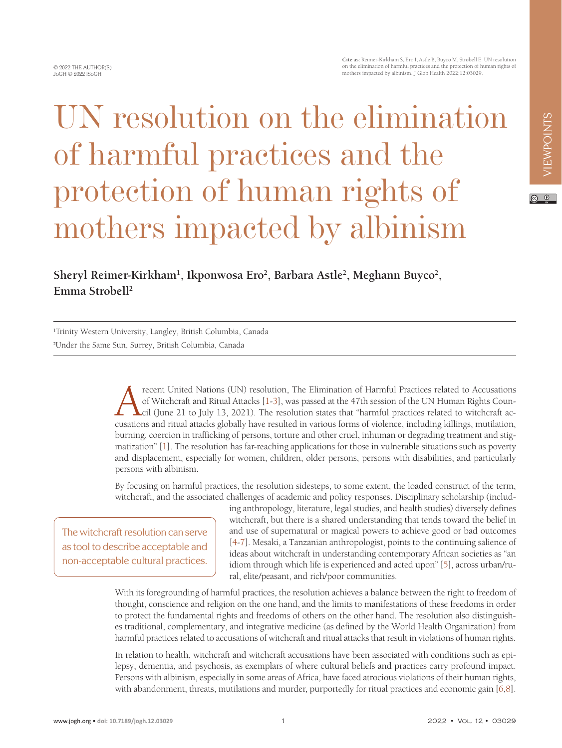## UN resolution on the elimination of harmful practices and the protection of human rights of mothers impacted by albinism

## Sheryl Reimer-Kirkham<sup>1</sup>, Ikponwosa Ero<sup>2</sup>, Barbara Astle<sup>2</sup>, Meghann Buyco<sup>2</sup>, **Emma Strobell2**

1 Trinity Western University, Langley, British Columbia, Canada 2 Under the Same Sun, Surrey, British Columbia, Canada

> recent United Nations (UN) resolution, The Elimination of Harmful Practices related to Accusations<br>of Witchcraft and Ritual Attacks [1-3], was passed at the 47th session of the UN Human Rights Council (June 21 to July 13, of Witchcraft and Ritual Attacks [1-3], was passed at the 47th session of the UN Human Rights Council (June 21 to July 13, 2021). The resolution states that "harmful practices related to witchcraft accusations and ritual attacks globally have resulted in various forms of violence, including killings, mutilation, burning, coercion in trafficking of persons, torture and other cruel, inhuman or degrading treatment and stigmatization" [\[1](#page-2-0)]. The resolution has far-reaching applications for those in vulnerable situations such as poverty and displacement, especially for women, children, older persons, persons with disabilities, and particularly persons with albinism.

> By focusing on harmful practices, the resolution sidesteps, to some extent, the loaded construct of the term, witchcraft, and the associated challenges of academic and policy responses. Disciplinary scholarship (includ-

The witchcraft resolution can serve as tool to describe acceptable and non-acceptable cultural practices.

ing anthropology, literature, legal studies, and health studies) diversely defines witchcraft, but there is a shared understanding that tends toward the belief in and use of supernatural or magical powers to achieve good or bad outcomes [\[4](#page-2-2)-[7\]](#page-2-3). Mesaki, a Tanzanian anthropologist, points to the continuing salience of ideas about witchcraft in understanding contemporary African societies as "an idiom through which life is experienced and acted upon" [\[5](#page-2-4)], across urban/rural, elite/peasant, and rich/poor communities.

With its foregrounding of harmful practices, the resolution achieves a balance between the right to freedom of thought, conscience and religion on the one hand, and the limits to manifestations of these freedoms in order to protect the fundamental rights and freedoms of others on the other hand. The resolution also distinguishes traditional, complementary, and integrative medicine (as defined by the World Health Organization) from harmful practices related to accusations of witchcraft and ritual attacks that result in violations of human rights.

In relation to health, witchcraft and witchcraft accusations have been associated with conditions such as epilepsy, dementia, and psychosis, as exemplars of where cultural beliefs and practices carry profound impact. Persons with albinism, especially in some areas of Africa, have faced atrocious violations of their human rights, with abandonment, threats, mutilations and murder, purportedly for ritual practices and economic gain [[6,](#page-2-5)[8](#page-2-6)].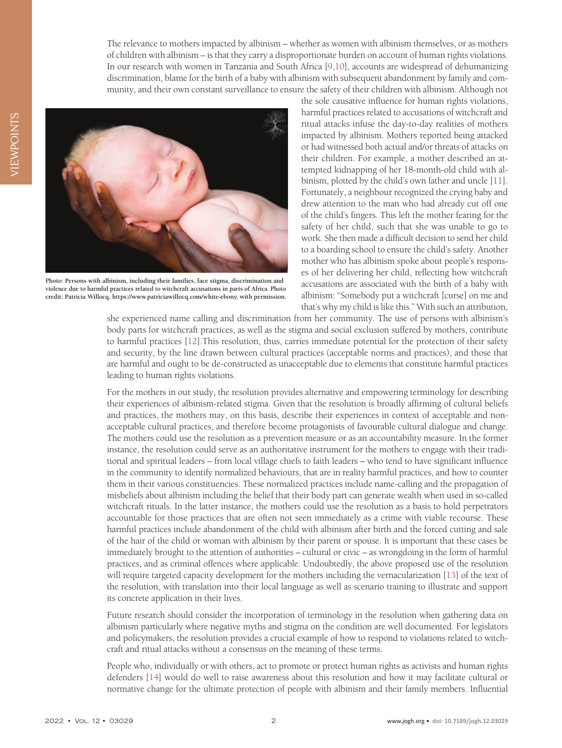The relevance to mothers impacted by albinism – whether as women with albinism themselves, or as mothers of children with albinism – is that they carry a disproportionate burden on account of human rights violations. In our research with women in Tanzania and South Africa [\[9](#page-2-7)[,10](#page-3-0)], accounts are widespread of dehumanizing discrimination, blame for the birth of a baby with albinism with subsequent abandonment by family and community, and their own constant surveillance to ensure the safety of their children with albinism. Although not



**Photo: Persons with albinism, including their families, face stigma, discrimination and violence due to harmful practices related to witchcraft accusations in parts of Africa. Photo credit: Patricia Willocq, [https://www.patriciawillocq.com/white-ebony,](https://www.patriciawillocq.com/white-ebony) with permission.**

the sole causative influence for human rights violations, harmful practices related to accusations of witchcraft and ritual attacks infuse the day-to-day realities of mothers impacted by albinism. Mothers reported being attacked or had witnessed both actual and/or threats of attacks on their children. For example, a mother described an attempted kidnapping of her 18-month-old child with albinism, plotted by the child's own father and uncle [[11\]](#page-3-1). Fortunately, a neighbour recognized the crying baby and drew attention to the man who had already cut off one of the child's fingers. This left the mother fearing for the safety of her child, such that she was unable to go to work. She then made a difficult decision to send her child to a boarding school to ensure the child's safety. Another mother who has albinism spoke about people's responses of her delivering her child, reflecting how witchcraft accusations are associated with the birth of a baby with albinism: "Somebody put a witchcraft [curse] on me and that's why my child is like this." With such an attribution,

she experienced name calling and discrimination from her community. The use of persons with albinism's body parts for witchcraft practices, as well as the stigma and social exclusion suffered by mothers, contribute to harmful practices [[12\]](#page-3-2).This resolution, thus, carries immediate potential for the protection of their safety and security, by the line drawn between cultural practices (acceptable norms and practices), and those that are harmful and ought to be de-constructed as unacceptable due to elements that constitute harmful practices leading to human rights violations.

For the mothers in our study, the resolution provides alternative and empowering terminology for describing their experiences of albinism-related stigma. Given that the resolution is broadly affirming of cultural beliefs and practices, the mothers may, on this basis, describe their experiences in context of acceptable and nonacceptable cultural practices, and therefore become protagonists of favourable cultural dialogue and change. The mothers could use the resolution as a prevention measure or as an accountability measure. In the former instance, the resolution could serve as an authoritative instrument for the mothers to engage with their traditional and spiritual leaders – from local village chiefs to faith leaders – who tend to have significant influence in the community to identify normalized behaviours, that are in reality harmful practices, and how to counter them in their various constituencies. These normalized practices include name-calling and the propagation of misbeliefs about albinism including the belief that their body part can generate wealth when used in so-called witchcraft rituals. In the latter instance, the mothers could use the resolution as a basis to hold perpetrators accountable for those practices that are often not seen immediately as a crime with viable recourse. These harmful practices include abandonment of the child with albinism after birth and the forced cutting and sale of the hair of the child or woman with albinism by their parent or spouse. It is important that these cases be immediately brought to the attention of authorities – cultural or civic – as wrongdoing in the form of harmful practices, and as criminal offences where applicable. Undoubtedly, the above proposed use of the resolution will require targeted capacity development for the mothers including the vernacularization [\[13](#page-3-3)] of the text of the resolution, with translation into their local language as well as scenario training to illustrate and support its concrete application in their lives.

Future research should consider the incorporation of terminology in the resolution when gathering data on albinism particularly where negative myths and stigma on the condition are well documented. For legislators and policymakers, the resolution provides a crucial example of how to respond to violations related to witchcraft and ritual attacks without a consensus on the meaning of these terms.

People who, individually or with others, act to promote or protect human rights as activists and human rights defenders [[14](#page-3-4)] would do well to raise awareness about this resolution and how it may facilitate cultural or normative change for the ultimate protection of people with albinism and their family members. Influential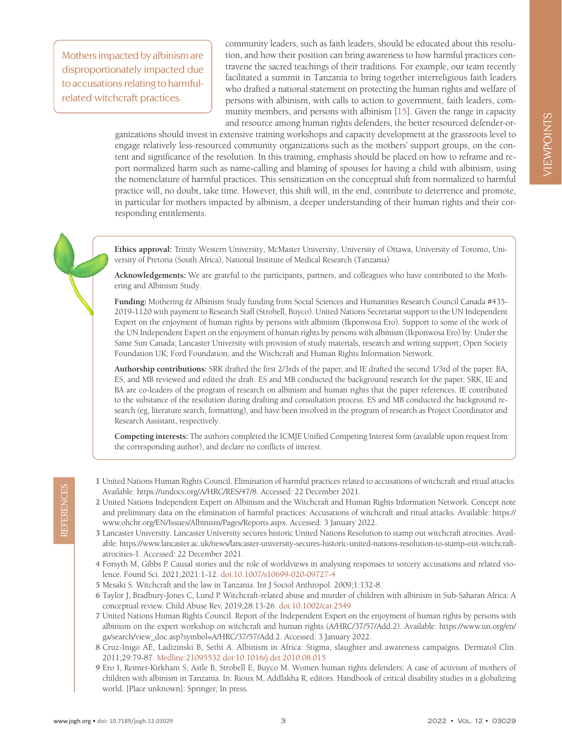VIEWPOINTS VIEWPOINTS

Mothers impacted by albinism are disproportionately impacted due to accusations relating to harmfulrelated witchcraft practices.

community leaders, such as faith leaders, should be educated about this resolution, and how their position can bring awareness to how harmful practices contravene the sacred teachings of their traditions. For example, our team recently facilitated a summit in Tanzania to bring together interreligious faith leaders who drafted a national statement on protecting the human rights and welfare of persons with albinism, with calls to action to government, faith leaders, community members, and persons with albinism [\[15](#page-3-5)]. Given the range in capacity and resource among human rights defenders, the better resourced defender-or-

ganizations should invest in extensive training workshops and capacity development at the grassroots level to engage relatively less-resourced community organizations such as the mothers' support groups, on the content and significance of the resolution. In this training, emphasis should be placed on how to reframe and report normalized harm such as name-calling and blaming of spouses for having a child with albinism, using the nomenclature of harmful practices. This sensitization on the conceptual shift from normalized to harmful practice will, no doubt, take time. However, this shift will, in the end, contribute to deterrence and promote, in particular for mothers impacted by albinism, a deeper understanding of their human rights and their corresponding entitlements.

**Ethics approval:** Trinity Western University, McMaster University, University of Ottawa, University of Toronto, University of Pretoria (South Africa), National Institute of Medical Research (Tanzania)

**Acknowledgements:** We are grateful to the participants, partners, and colleagues who have contributed to the Mothering and Albinism Study.

**Funding:** Mothering & Albinism Study funding from Social Sciences and Humanities Research Council Canada #435- 2019-1120 with payment to Research Staff (Strobell, Buyco). United Nations Secretariat support to the UN Independent Expert on the enjoyment of human rights by persons with albinism (Ikponwosa Ero). Support to some of the work of the UN Independent Expert on the enjoyment of human rights by persons with albinism (Ikponwosa Ero) by: Under the Same Sun Canada; Lancaster University with provision of study materials, research and writing support; Open Society Foundation UK; Ford Foundation; and the Witchcraft and Human Rights Information Network.

**Authorship contributions:** SRK drafted the first 2/3rds of the paper, and IE drafted the second 1/3rd of the paper. BA, ES, and MB reviewed and edited the draft. ES and MB conducted the background research for the paper. SRK, IE and BA are co-leaders of the program of research on albinism and human rights that the paper references. IE contributed to the substance of the resolution during drafting and consultation process. ES and MB conducted the background research (eg, literature search, formatting), and have been involved in the program of research as Project Coordinator and Research Assistant, respectively.

**Competing interests:** The authors completed the ICMJE Unified Competing Interest form (available upon request from the corresponding author), and declare no conflicts of interest.

- <span id="page-2-0"></span>1 United Nations Human Rights Council. Elimination of harmful practices related to accusations of witchcraft and ritual attacks. Available: [https://undocs.org/A/HRC/RES/47/8.](https://undocs.org/A/HRC/RES/47/8) Accessed: 22 December 2021.
- 2 United Nations Independent Expert on Albinism and the Witchcraft and Human Rights Information Network. Concept note and preliminary data on the elimination of harmful practices: Accusations of witchcraft and ritual attacks. Available: [https://](https://www.ohchr.org/EN/Issues/Albinism/Pages/Reports.aspx) [www.ohchr.org/EN/Issues/Albinism/Pages/Reports.aspx.](https://www.ohchr.org/EN/Issues/Albinism/Pages/Reports.aspx) Accessed: 3 January 2022.
- <span id="page-2-1"></span>3 Lancaster University. Lancaster University secures historic United Nations Resolution to stamp out witchcraft atrocities. Available: [https://www.lancaster.ac.uk/news/lancaster-university-secures-historic-united-nations-resolution-to-stamp-out-witchcraft](https://www.lancaster.ac.uk/news/lancaster-university-secures-historic-united-nations-resolution-to-)[atrocities-1.](https://www.lancaster.ac.uk/news/lancaster-university-secures-historic-united-nations-resolution-to-) Accessed: 22 December 2021.
- <span id="page-2-2"></span>4 Forsyth M, Gibbs P. Causal stories and the role of worldviews in analysing responses to sorcery accusations and related violence. Found Sci. 2021;2021:1-12. [doi:10.1007/s10699-020-09727-4](https://doi.org/10.1007/s10699-020-09727-4)
- <span id="page-2-4"></span>5 Mesaki S. Witchcraft and the law in Tanzania. Int J Sociol Anthropol. 2009;1:132-8.
- <span id="page-2-5"></span>6 Taylor J, Bradbury-Jones C, Lund P. Witchcraft-related abuse and murder of children with albinism in Sub-Saharan Africa: A conceptual review. Child Abuse Rev. 2019;28:13-26. [doi:10.1002/car.2549](https://doi.org/10.1002/car.2549)
- <span id="page-2-3"></span>7 United Nations Human Rights Council. Report of the Independent Expert on the enjoyment of human rights by persons with albinism on the expert workshop on witchcraft and human rights (A/HRC/37/57/Add.2). Available: [https://www.un.org/en/](https://www.un.org/en/ga/search/view_doc.asp?symbol=A/HRC/37/57/Add.2) [ga/search/view\\_doc.asp?symbol=A/HRC/37/57/Add.2.](https://www.un.org/en/ga/search/view_doc.asp?symbol=A/HRC/37/57/Add.2) Accessed: 3 January 2022.
- <span id="page-2-7"></span><span id="page-2-6"></span>8 Cruz-Inigo AE, Ladizinski B, Sethi A. Albinism in Africa: Stigma, slaughter and awareness campaigns. Dermatol Clin. 2011;29:79-87. [Medline:21095532](https://www.ncbi.nlm.nih.gov/entrez/query.fcgi?cmd=Retrieve&db=PubMed&list_uids=21095532&dopt=Abstract) [doi:10.1016/j.det.2010.08.015](https://doi.org/10.1016/j.det.2010.08.015)
- wallable: https://undocs.org/A/HRC/RES47/8. Accessed: 22 December 2021.<br>
22 Unitary Report on Albums and Plumar and the Witchconft and Human Rights Information Network. Concept note<br>
22 Unitary Additions Report on Albums a 9 Ero I, Reimer-Kirkham S, Astle B, Strobell E, Buyco M. Women human rights defenders: A case of activism of mothers of children with albinism in Tanzania. In: Rioux M, Addlakha R, editors. Handbook of critical disability studies in a globalizing world. [Place unknown]: Springer; In press.